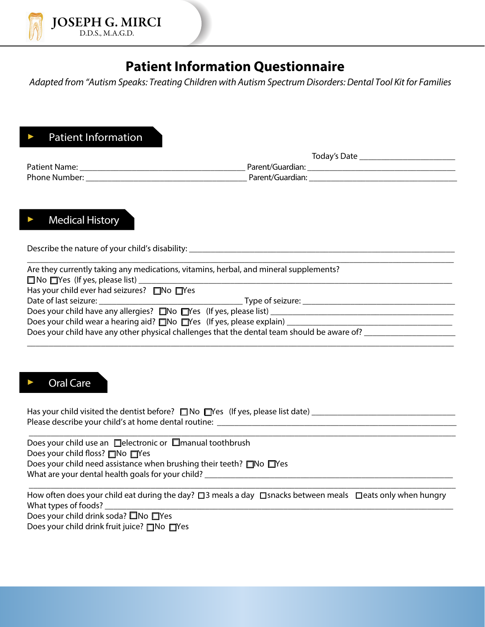

## **Patient Information Questionnaire**

*Adapted from "Autism Speaks: Treating Children with Autism Spectrum Disorders: Dental Tool Kit for Families*

### Patient Information

|               | Today's Date     |
|---------------|------------------|
| Patient Name: | Parent/Guardian: |
| Phone Number: | Parent/Guardian: |

### Medical History

Describe the nature of your child's disability: \_\_\_\_\_\_\_\_\_\_\_\_\_\_\_\_\_\_\_\_\_\_\_\_\_\_\_\_\_\_\_\_

|                                                        | Are they currently taking any medications, vitamins, herbal, and mineral supplements?             |
|--------------------------------------------------------|---------------------------------------------------------------------------------------------------|
|                                                        |                                                                                                   |
| Has your child ever had seizures? $\Box$ No $\Box$ Yes |                                                                                                   |
|                                                        | Type of seizure: Type of seizure:                                                                 |
|                                                        | Does your child have any allergies? ■No ■Yes (If yes, please list) _______                        |
|                                                        | Does your child wear a hearing aid? $\square$ No $\square$ Yes (If yes, please explain) _________ |
|                                                        | Does your child have any other physical challenges that the dental team should be aware of? ____  |

#### Oral Care

Has your child visited the dentist before? No Yes (If yes, please list date) \_\_\_\_\_\_\_\_\_\_\_\_\_\_\_\_\_\_\_\_\_\_\_\_\_\_\_\_\_\_\_\_\_ Please describe your child's at home dental routine: \_\_\_\_\_\_\_\_\_\_\_\_\_\_\_\_\_\_\_\_\_\_\_\_\_\_\_

\_\_\_\_\_\_\_\_\_\_\_\_\_\_\_\_\_\_\_\_\_\_\_\_\_\_\_\_\_\_\_\_\_\_\_\_\_\_\_\_\_\_\_\_\_\_\_\_\_\_\_\_\_\_\_\_\_\_\_\_\_\_\_\_\_\_\_\_\_\_\_\_\_\_\_\_\_\_\_\_\_\_\_\_\_\_\_\_\_\_\_\_\_\_\_\_\_\_

Does your child use an  $\Box$ electronic or  $\Box$ manual toothbrush Does your child floss? No Nes Does your child need assistance when brushing their teeth?  $\Box$ No  $\Box$ Yes What are your dental health goals for your child? \_\_\_\_\_\_\_\_\_\_\_\_\_\_\_\_\_\_\_\_\_\_\_\_\_\_\_\_\_\_

 \_\_\_\_\_\_\_\_\_\_\_\_\_\_\_\_\_\_\_\_\_\_\_\_\_\_\_\_\_\_\_\_\_\_\_\_\_\_\_\_\_\_\_\_\_\_\_\_\_\_\_\_\_\_\_\_\_\_\_\_\_\_\_\_\_\_\_\_\_\_\_\_\_\_\_\_\_\_\_\_\_\_\_\_\_\_\_\_\_\_\_\_\_\_\_\_\_\_ How often does your child eat during the day?  $\square$ 3 meals a day  $\square$ snacks between meals  $\square$ eats only when hungry What types of foods? Does your child drink soda?  $\square$  No  $\square$  Yes Does your child drink fruit juice?  $\Box$  No  $\Box$  Yes